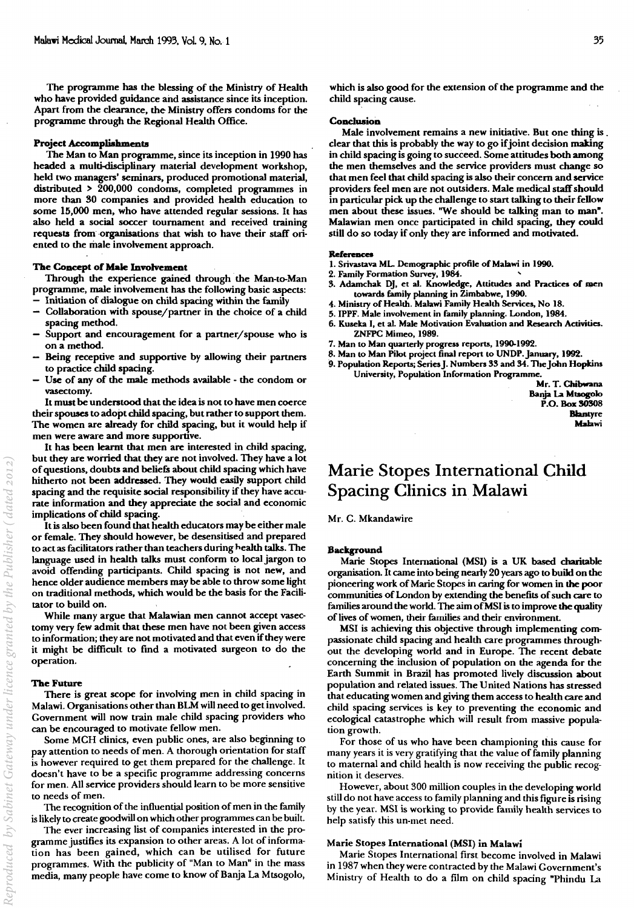The programme has the blessing of the Ministry of Health who have provided guidance and assistance since its inception. Apart from the clearance, the Ministry offers condoms for the programme through the Regional Health Office.

#### **Project Accomplishments**

The Man to Man programme, since its inception in 1990 has headed a multi-disciplinary material development workshop, held two managers' seminars, produced promotional material, distributed  $> 200,000$  condoms, completed programmes in more than 30 companies and provided health education to some 15,000 men, who have attended regular sessions. It has also held a social soccer tournament and received training requests from organisations that wish to have their staff oriented to the male involvement approach.

### The Concept of Male Involvement

Through the experience gained through' the Man-to-Man programme, male involvement has the following basic aspects: - Initiation of dialogue on child spacing within the family

- Collaboration with spouse/partner in the choice of a child spacing method.
- Support and encouragement for a partner/spouse who is ona method.
- Being receptive and supportive by allowing their partners to practice child spacing.
- Use of any of the male methods avaiIable the condom or vasectomy.

It must be understood that the idea is not to have men coerce their spouses to adopt child spacing, but rather to support them. The women are already for child spacing, but it would help if men were aware and more supportive.

It has been learnt that men are interested in child spacing, but they are worried that they are not involved. They have a lot of questions, doubts and beliefs about child spacing which have hitherto not been addressed. They would easily support child spacing and the requisite social responsibility if they have accurate information and they appreciate the social and economic implications of child spacing.

It is also been found that health educators may be either male or female. They should however, be desensitised and prepared to act as facilitators rather than teachers during health talks. The language used in health talks must conform to local jargon to avoid offending participants. Child spacing is not new, and hence older audience members may be able to throw some light on traditional methods, which would be the basis for the Facilitator to build on.

While many argue that Malawian men cannot accept vasectomy very few admit that these men have not been given access to information; they are not motivated and that even if they were it might be difficult to find a motivated surgeon to do the operation.

#### **The Future**

There is great scope for involving men in child spacing in Malawi. Organisations other than BLM will need to get involved. Government will now train male child spacing providers who can be encouraged to motivate fellow men.

Some MCH clinics, even public ones, are also beginning to pay attention to needs of men. A thorough orientation for staff is however required to get them prepared for the challenge. It doesn't have to be a specific programme addressing concerns for men. All service providers should learn to be more sensitive to needs of men.

The recognition of the influential position of men in the family is likely to create goodwill on which other programmes can be built.

The ever increasing list of companies interested in the programme justifies its expansion to other areas. A lot of information has been gained, which can be utilised for future programmes. With the publicity of "Man to Man" in the mass media, many people have come to know of BanJa La Mtsogolo, which is also good for the extension of the programme and the child spacing cause.

#### **Conclusion**

Male involvement remains a new initiative. But one thing is . clear that this is probably the way to go if joint decision making in child spacing is going to succeed. Some attitudes both among the men themselves and the service providers must change so that men feel that child spacing is also their concern and service providers feel men are not outsiders. Male medical staff should in particular pick up the challenge to start talking to their fellow men about these issues. ''We should be talking man to man". Malawian men once participated in child spacing, they could still do so today if only they are informed and motivated.

#### **References**

- 1. Srivaslava ML. Demographic profile of Malawi in 1990.
- 2. Family Formation Survey, 1984. '
- 3. Adamchak DJ, et al. Knowledge, Attitudes and Practices of men towards family planning in Zimbabwe, 1990.
- 4. Ministry or Health. Malawi Family Health Services, No 18.
- 5. IPPF. Male involvement in family planning. London, 1984.
- 6. Kuseka I, et al. Male Motivation Evaluation and Research AClivities. ZNFPC Mimeo, 1989.
- 7. Man to Man quarterly progress reports, 1990-1992.
- 8. Man to Man Pilot project final report to UNOP.January, 1992.
- 9. Population Reports; Series J. Numbers 33 and 34. The John Hopkins University, Population Inrormation Programme.

Mr. T. Chibwana Banja La Mtsogolo P.O. Box 30308 Blantyre Malawi

## Marie Stopes International Child Spacing Clinics in Malawi

Mr. C. Mkandawire

#### **Background**

Marie Stopes International (MSI) is a UK based charitable organisation. It came into being nearly 20 years ago to build on the pioneering work of Marie Stopes in caring for women in the poor communities of London by extending the benefits of such care to families around the world. The aim of MSI is to improve the quality of lives of women, their families and their environment.

MSI is achieving this objective through implementing compassionate child spacing and health care programmes throughout the developing world and in Europe. The recent debate concerning the inclusion of population on the agenda for the Earth Summit in Brazil has promoted lively discussion about population and related issues. The United Nations has stressed that educating women and giving them access to health care and child spacing services is key to preventing the economic and ecological catastrophe which will result from massive population growth.

For those of us who have been championing this cause for many years it is very gratifying that the value of family planning to maternal and child health is now receiving the public recognition it deserves.

However, about 300 million couples in the developing world still do not have access to family planning and this figure is rising by the year. MSI is working to provide family health services to help satisfy this un-met need.

#### Marie Stopes International (MSI) in Malawi

Marie Stopes International first become involved in Malawi in 1987 when they were contracted by the Malawi Government's Ministry of Health to do a film on child spacing "Phindu La